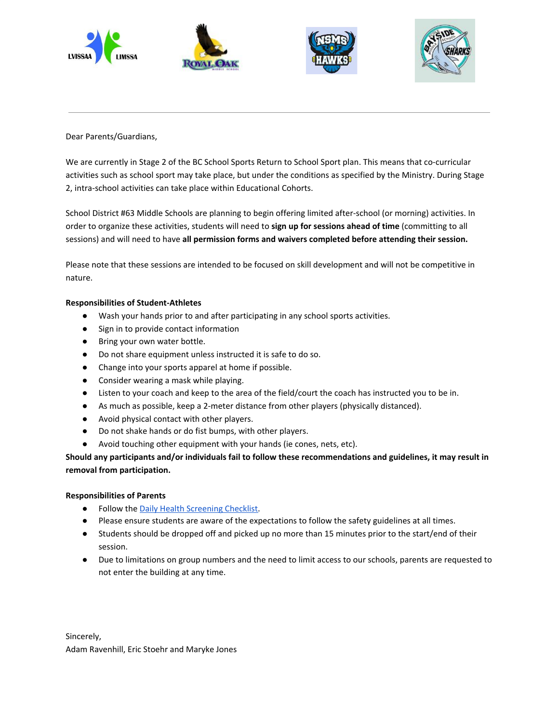







Dear Parents/Guardians,

We are currently in Stage 2 of the BC School Sports Return to School Sport plan. This means that co-curricular activities such as school sport may take place, but under the conditions as specified by the Ministry. During Stage 2, intra-school activities can take place within Educational Cohorts.

School District #63 Middle Schools are planning to begin offering limited after-school (or morning) activities. In order to organize these activities, students will need to **sign up for sessions ahead of time** (committing to all sessions) and will need to have **all permission forms and waivers completed before attending their session.**

Please note that these sessions are intended to be focused on skill development and will not be competitive in nature.

## **Responsibilities of Student-Athletes**

- Wash your hands prior to and after participating in any school sports activities.
- Sign in to provide contact information
- Bring your own water bottle.
- Do not share equipment unless instructed it is safe to do so.
- Change into your sports apparel at home if possible.
- Consider wearing a mask while playing.
- Listen to your coach and keep to the area of the field/court the coach has instructed you to be in.
- As much as possible, keep a 2-meter distance from other players (physically distanced).
- Avoid physical contact with other players.
- Do not shake hands or do fist bumps, with other players.
- Avoid touching other equipment with your hands (ie cones, nets, etc).

**Should any participants and/or individuals fail to follow these recommendations and guidelines, it may result in removal from participation.**

## **Responsibilities of Parents**

- Follow the Daily Health [Screening](https://saanichschools-my.sharepoint.com/:w:/g/personal/dmark_saanichschools_ca/EZ4NqTndWVFFq-zjCCv3W3EB2705HkvEodECOoywXeVM_g) Checklist.
- Please ensure students are aware of the expectations to follow the safety guidelines at all times.
- Students should be dropped off and picked up no more than 15 minutes prior to the start/end of their session.
- Due to limitations on group numbers and the need to limit access to our schools, parents are requested to not enter the building at any time.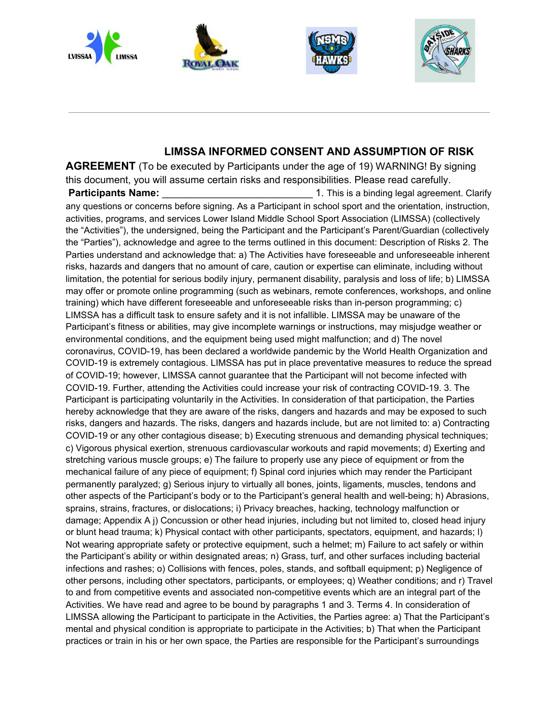

## **LIMSSA INFORMED CONSENT AND ASSUMPTION OF RISK**

**AGREEMENT** (To be executed by Participants under the age of 19) WARNING! By signing this document, you will assume certain risks and responsibilities. Please read carefully. **Participants Name: Participants Name:**  $\frac{1}{2}$  **Participants Name:** Clarify any questions or concerns before signing. As a Participant in school sport and the orientation, instruction, activities, programs, and services Lower Island Middle School Sport Association (LIMSSA) (collectively the "Activities"), the undersigned, being the Participant and the Participant's Parent/Guardian (collectively the "Parties"), acknowledge and agree to the terms outlined in this document: Description of Risks 2. The Parties understand and acknowledge that: a) The Activities have foreseeable and unforeseeable inherent risks, hazards and dangers that no amount of care, caution or expertise can eliminate, including without limitation, the potential for serious bodily injury, permanent disability, paralysis and loss of life; b) LIMSSA may offer or promote online programming (such as webinars, remote conferences, workshops, and online training) which have different foreseeable and unforeseeable risks than in-person programming; c) LIMSSA has a difficult task to ensure safety and it is not infallible. LIMSSA may be unaware of the Participant's fitness or abilities, may give incomplete warnings or instructions, may misjudge weather or environmental conditions, and the equipment being used might malfunction; and d) The novel coronavirus, COVID-19, has been declared a worldwide pandemic by the World Health Organization and COVID-19 is extremely contagious. LIMSSA has put in place preventative measures to reduce the spread of COVID-19; however, LIMSSA cannot guarantee that the Participant will not become infected with COVID-19. Further, attending the Activities could increase your risk of contracting COVID-19. 3. The Participant is participating voluntarily in the Activities. In consideration of that participation, the Parties hereby acknowledge that they are aware of the risks, dangers and hazards and may be exposed to such risks, dangers and hazards. The risks, dangers and hazards include, but are not limited to: a) Contracting COVID-19 or any other contagious disease; b) Executing strenuous and demanding physical techniques; c) Vigorous physical exertion, strenuous cardiovascular workouts and rapid movements; d) Exerting and stretching various muscle groups; e) The failure to properly use any piece of equipment or from the mechanical failure of any piece of equipment; f) Spinal cord injuries which may render the Participant permanently paralyzed; g) Serious injury to virtually all bones, joints, ligaments, muscles, tendons and other aspects of the Participant's body or to the Participant's general health and well-being; h) Abrasions, sprains, strains, fractures, or dislocations; i) Privacy breaches, hacking, technology malfunction or damage; Appendix A j) Concussion or other head injuries, including but not limited to, closed head injury or blunt head trauma; k) Physical contact with other participants, spectators, equipment, and hazards; l) Not wearing appropriate safety or protective equipment, such a helmet; m) Failure to act safely or within the Participant's ability or within designated areas; n) Grass, turf, and other surfaces including bacterial infections and rashes; o) Collisions with fences, poles, stands, and softball equipment; p) Negligence of other persons, including other spectators, participants, or employees; q) Weather conditions; and r) Travel to and from competitive events and associated non-competitive events which are an integral part of the Activities. We have read and agree to be bound by paragraphs 1 and 3. Terms 4. In consideration of LIMSSA allowing the Participant to participate in the Activities, the Parties agree: a) That the Participant's mental and physical condition is appropriate to participate in the Activities; b) That when the Participant practices or train in his or her own space, the Parties are responsible for the Participant's surroundings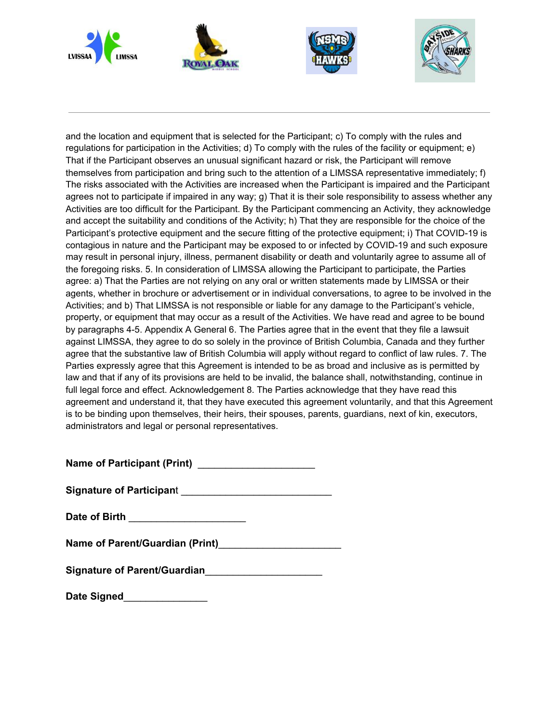

and the location and equipment that is selected for the Participant; c) To comply with the rules and regulations for participation in the Activities; d) To comply with the rules of the facility or equipment; e) That if the Participant observes an unusual significant hazard or risk, the Participant will remove themselves from participation and bring such to the attention of a LIMSSA representative immediately; f) The risks associated with the Activities are increased when the Participant is impaired and the Participant agrees not to participate if impaired in any way; g) That it is their sole responsibility to assess whether any Activities are too difficult for the Participant. By the Participant commencing an Activity, they acknowledge and accept the suitability and conditions of the Activity; h) That they are responsible for the choice of the Participant's protective equipment and the secure fitting of the protective equipment; i) That COVID-19 is contagious in nature and the Participant may be exposed to or infected by COVID-19 and such exposure may result in personal injury, illness, permanent disability or death and voluntarily agree to assume all of the foregoing risks. 5. In consideration of LIMSSA allowing the Participant to participate, the Parties agree: a) That the Parties are not relying on any oral or written statements made by LIMSSA or their agents, whether in brochure or advertisement or in individual conversations, to agree to be involved in the Activities; and b) That LIMSSA is not responsible or liable for any damage to the Participant's vehicle, property, or equipment that may occur as a result of the Activities. We have read and agree to be bound by paragraphs 4-5. Appendix A General 6. The Parties agree that in the event that they file a lawsuit against LIMSSA, they agree to do so solely in the province of British Columbia, Canada and they further agree that the substantive law of British Columbia will apply without regard to conflict of law rules. 7. The Parties expressly agree that this Agreement is intended to be as broad and inclusive as is permitted by law and that if any of its provisions are held to be invalid, the balance shall, notwithstanding, continue in full legal force and effect. Acknowledgement 8. The Parties acknowledge that they have read this agreement and understand it, that they have executed this agreement voluntarily, and that this Agreement is to be binding upon themselves, their heirs, their spouses, parents, guardians, next of kin, executors, administrators and legal or personal representatives.

**Name of Participant (Print)** \_\_\_\_\_\_\_\_\_\_\_\_\_\_\_\_\_\_\_\_\_

| <b>Signature of Participant</b> |  |
|---------------------------------|--|
|---------------------------------|--|

**Date of Birth** \_\_\_\_\_\_\_\_\_\_\_\_\_\_\_\_\_\_\_\_\_

**Name of Parent/Guardian (Print)**\_\_\_\_\_\_\_\_\_\_\_\_\_\_\_\_\_\_\_\_\_\_

**Signature of Parent/Guardian**\_\_\_\_\_\_\_\_\_\_\_\_\_\_\_\_\_\_\_\_\_

| Date Signed |  |
|-------------|--|
|-------------|--|